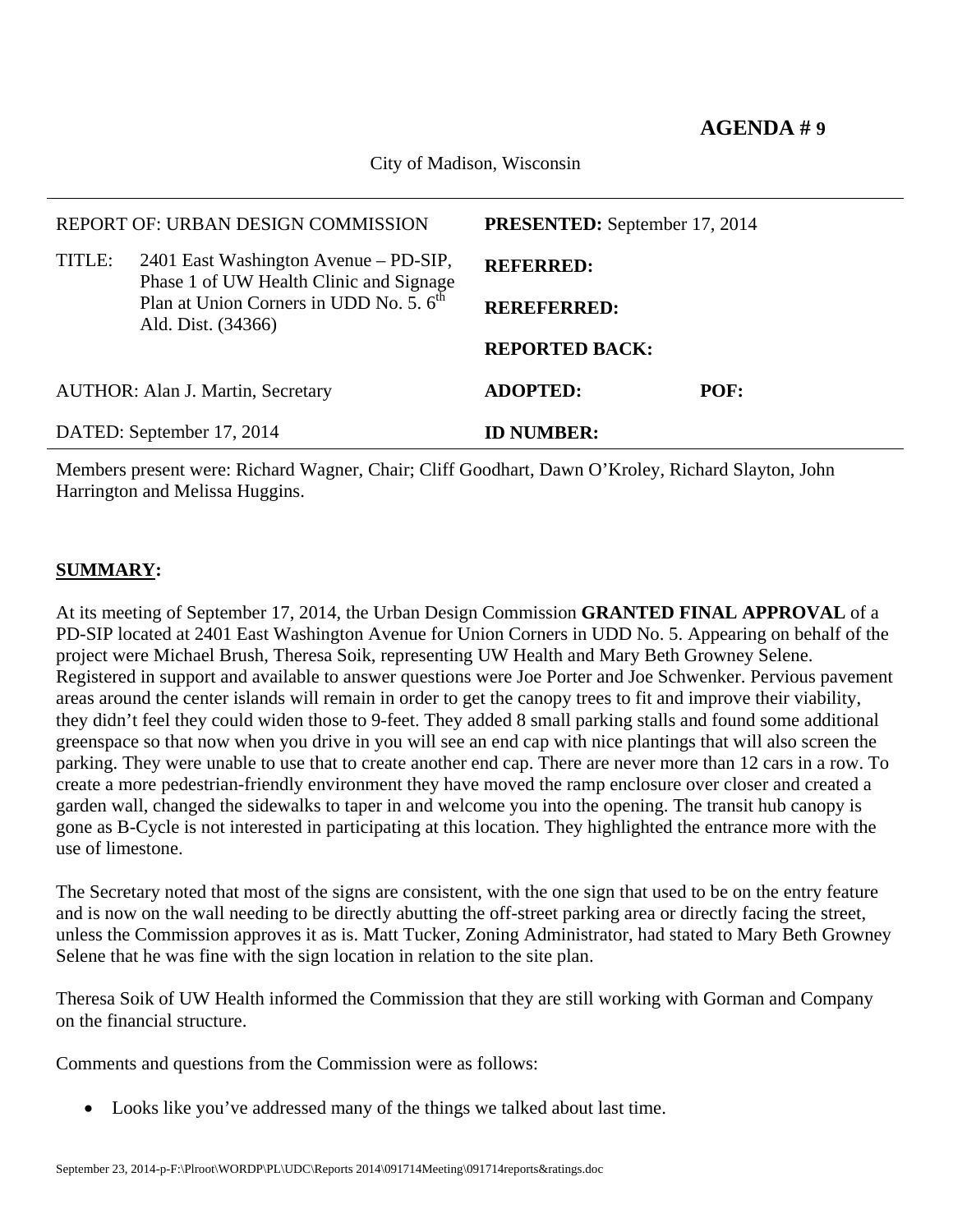City of Madison, Wisconsin

|                           | REPORT OF: URBAN DESIGN COMMISSION                                                                                   | <b>PRESENTED:</b> September 17, 2014 |      |  |  |
|---------------------------|----------------------------------------------------------------------------------------------------------------------|--------------------------------------|------|--|--|
| TITLE:                    | 2401 East Washington Avenue – PD-SIP,                                                                                | <b>REFERRED:</b>                     |      |  |  |
|                           | Phase 1 of UW Health Clinic and Signage<br>Plan at Union Corners in UDD No. 5. 6 <sup>th</sup><br>Ald. Dist. (34366) | <b>REREFERRED:</b>                   |      |  |  |
|                           |                                                                                                                      | <b>REPORTED BACK:</b>                |      |  |  |
|                           | <b>AUTHOR: Alan J. Martin, Secretary</b>                                                                             | <b>ADOPTED:</b>                      | POF: |  |  |
| DATED: September 17, 2014 |                                                                                                                      | <b>ID NUMBER:</b>                    |      |  |  |

Members present were: Richard Wagner, Chair; Cliff Goodhart, Dawn O'Kroley, Richard Slayton, John Harrington and Melissa Huggins.

## **SUMMARY:**

At its meeting of September 17, 2014, the Urban Design Commission **GRANTED FINAL APPROVAL** of a PD-SIP located at 2401 East Washington Avenue for Union Corners in UDD No. 5. Appearing on behalf of the project were Michael Brush, Theresa Soik, representing UW Health and Mary Beth Growney Selene. Registered in support and available to answer questions were Joe Porter and Joe Schwenker. Pervious pavement areas around the center islands will remain in order to get the canopy trees to fit and improve their viability, they didn't feel they could widen those to 9-feet. They added 8 small parking stalls and found some additional greenspace so that now when you drive in you will see an end cap with nice plantings that will also screen the parking. They were unable to use that to create another end cap. There are never more than 12 cars in a row. To create a more pedestrian-friendly environment they have moved the ramp enclosure over closer and created a garden wall, changed the sidewalks to taper in and welcome you into the opening. The transit hub canopy is gone as B-Cycle is not interested in participating at this location. They highlighted the entrance more with the use of limestone.

The Secretary noted that most of the signs are consistent, with the one sign that used to be on the entry feature and is now on the wall needing to be directly abutting the off-street parking area or directly facing the street, unless the Commission approves it as is. Matt Tucker, Zoning Administrator, had stated to Mary Beth Growney Selene that he was fine with the sign location in relation to the site plan.

Theresa Soik of UW Health informed the Commission that they are still working with Gorman and Company on the financial structure.

Comments and questions from the Commission were as follows:

Looks like you've addressed many of the things we talked about last time.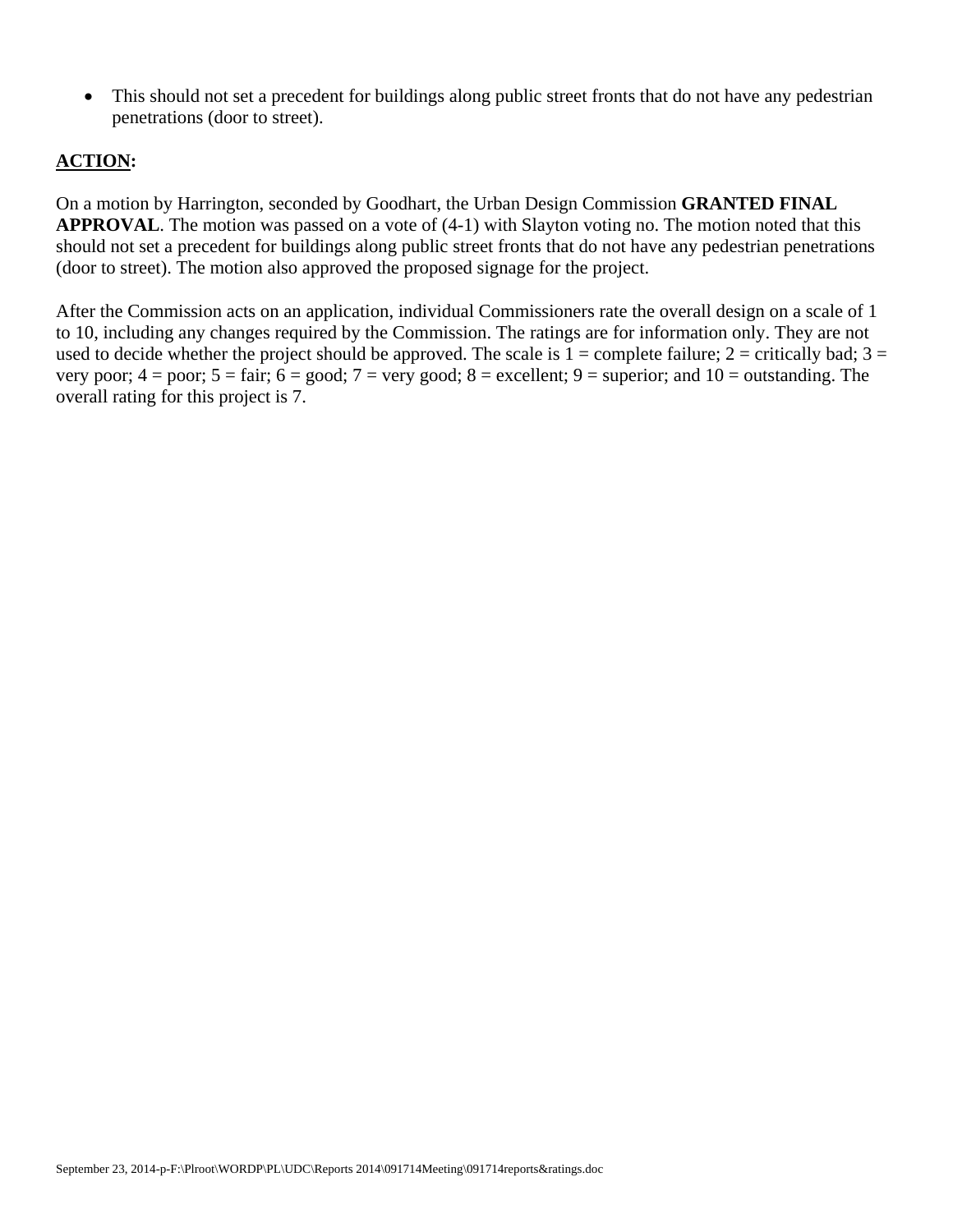• This should not set a precedent for buildings along public street fronts that do not have any pedestrian penetrations (door to street).

## **ACTION:**

On a motion by Harrington, seconded by Goodhart, the Urban Design Commission **GRANTED FINAL APPROVAL**. The motion was passed on a vote of (4-1) with Slayton voting no. The motion noted that this should not set a precedent for buildings along public street fronts that do not have any pedestrian penetrations (door to street). The motion also approved the proposed signage for the project.

After the Commission acts on an application, individual Commissioners rate the overall design on a scale of 1 to 10, including any changes required by the Commission. The ratings are for information only. They are not used to decide whether the project should be approved. The scale is  $1 =$  complete failure;  $2 =$  critically bad;  $3 =$ very poor;  $4 =$  poor;  $5 =$  fair;  $6 =$  good;  $7 =$  very good;  $8 =$  excellent;  $9 =$  superior; and  $10 =$  outstanding. The overall rating for this project is 7.